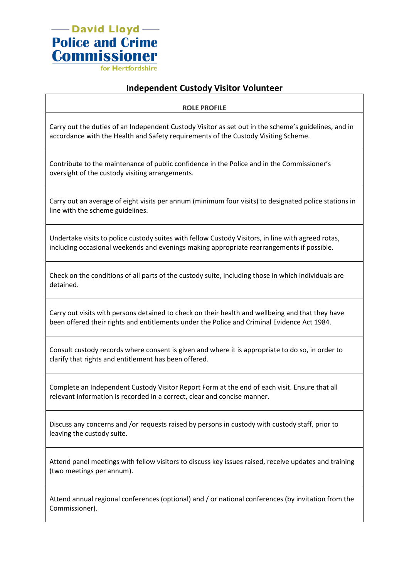— David Lloyd — **Police and Crime Commissioner** for Hertfordshir

## **Independent Custody Visitor Volunteer**

**ROLE PROFILE**

Carry out the duties of an Independent Custody Visitor as set out in the scheme's guidelines, and in accordance with the Health and Safety requirements of the Custody Visiting Scheme.

Contribute to the maintenance of public confidence in the Police and in the Commissioner's oversight of the custody visiting arrangements.

Carry out an average of eight visits per annum (minimum four visits) to designated police stations in line with the scheme guidelines.

Undertake visits to police custody suites with fellow Custody Visitors, in line with agreed rotas, including occasional weekends and evenings making appropriate rearrangements if possible.

Check on the conditions of all parts of the custody suite, including those in which individuals are detained.

Carry out visits with persons detained to check on their health and wellbeing and that they have been offered their rights and entitlements under the Police and Criminal Evidence Act 1984.

Consult custody records where consent is given and where it is appropriate to do so, in order to clarify that rights and entitlement has been offered.

Complete an Independent Custody Visitor Report Form at the end of each visit. Ensure that all relevant information is recorded in a correct, clear and concise manner.

Discuss any concerns and /or requests raised by persons in custody with custody staff, prior to leaving the custody suite.

Attend panel meetings with fellow visitors to discuss key issues raised, receive updates and training (two meetings per annum).

Attend annual regional conferences (optional) and / or national conferences (by invitation from the Commissioner).